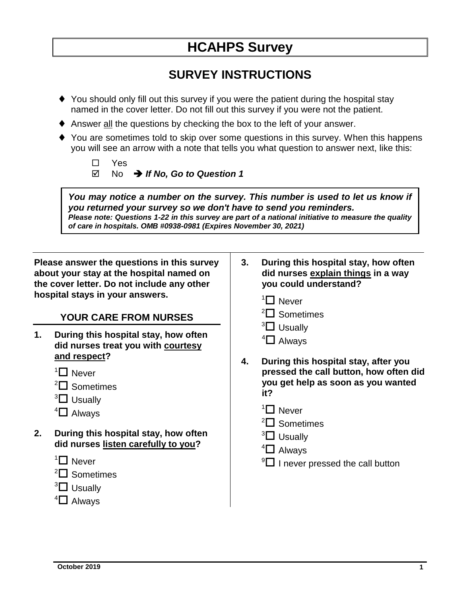# **HCAHPS Survey**

# **SURVEY INSTRUCTIONS**

- You should only fill out this survey if you were the patient during the hospital stay named in the cover letter. Do not fill out this survey if you were not the patient.
- Answer all the questions by checking the box to the left of your answer.
- ◆ You are sometimes told to skip over some questions in this survey. When this happens you will see an arrow with a note that tells you what question to answer next, like this:

| $\square$ Yes |                                                      |  |
|---------------|------------------------------------------------------|--|
|               | $\boxtimes$ No $\rightarrow$ If No. Go to Question 1 |  |

*You may notice a number on the survey. This number is used to let us know if you returned your survey so we don't have to send you reminders. Please note: Questions 1-22 in this survey are part of a national initiative to measure the quality of care in hospitals. OMB #0938-0981 (Expires November 30, 2021)*

**Please answer the questions in this survey about your stay at the hospital named on the cover letter. Do not include any other hospital stays in your answers.**

#### **YOUR CARE FROM NURSES**

- **1. During this hospital stay, how often did nurses treat you with courtesy and respect?** 
	- $1$  Never
	- $2\Box$  Sometimes
	- $3\Box$  Usually
	- $4\Box$  Always
- **2. During this hospital stay, how often did nurses listen carefully to you?**
	- $1$  Never
	- $2^2$  Sometimes
	- $3\Box$  Usually
	- $4\Box$  Always
- **3. During this hospital stay, how often did nurses explain things in a way you could understand?**
	- $1$  Never
	- $2\Box$  Sometimes
	- $3\Box$  Usually
	- $4\Box$  Always
- **4. During this hospital stay, after you pressed the call button, how often did you get help as soon as you wanted it?**
	- $1$  Never
	- ${}^{2}\square$  Sometimes
	- $3\Box$  Usually
	- $4\Box$  Always
	- $9\Box$  I never pressed the call button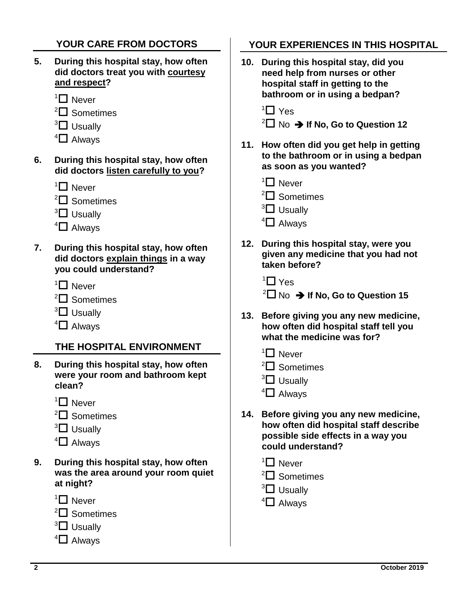## **YOUR CARE FROM DOCTORS**

- **5. During this hospital stay, how often did doctors treat you with courtesy and respect?**
	- $1$  Never
	- ${}^{2}\square$  Sometimes
	- $3\Box$  Usually
	- $4\Box$  Always
- **6. During this hospital stay, how often did doctors listen carefully to you?**
	- $1$  Never
	- $2\Box$  Sometimes
	- $3\Box$  Usually
	- $\mathrm{^{4} \square}$  Always
- **7. During this hospital stay, how often did doctors explain things in a way you could understand?**
	- $1$  Never
	- $2\Box$  Sometimes
	- $3\Box$  Usually
	- $4\Box$  Always

#### **THE HOSPITAL ENVIRONMENT**

- **8. During this hospital stay, how often were your room and bathroom kept clean?**
	- $1$  Never
	- $2\Box$  Sometimes
	- $3\Box$  Usually
	- $4\Box$  Always
- **9. During this hospital stay, how often was the area around your room quiet at night?**
	- $1$  Never



- $3\Box$  Usually
- $4\Box$  Always

## **YOUR EXPERIENCES IN THIS HOSPITAL**

**10. During this hospital stay, did you need help from nurses or other hospital staff in getting to the bathroom or in using a bedpan?**

 $1$  Yes

 $\sqrt[2]{\Box}$  No  $\rightarrow$  If No, Go to Question 12

- **11. How often did you get help in getting to the bathroom or in using a bedpan as soon as you wanted?**
	- $1$  Never
	- $2\Box$  Sometimes
	- $3\Box$  Usually
	- $4\Box$  Always
- **12. During this hospital stay, were you given any medicine that you had not taken before?**

 $1$ <sup>1</sup> $\Box$  Yes

- $\sqrt[2]{\Box}$  No  $\rightarrow$  If No, Go to Question 15
- **13. Before giving you any new medicine, how often did hospital staff tell you what the medicine was for?**
	- $1$  Never
	- $2^2$  Sometimes
	- $3\Box$  Usually
	- $4\Box$  Always
- **14. Before giving you any new medicine, how often did hospital staff describe possible side effects in a way you could understand?**
	- $1$  Never
	- $2\Box$  Sometimes
	- $3\Box$  Usually
	- $4\Box$  Alwavs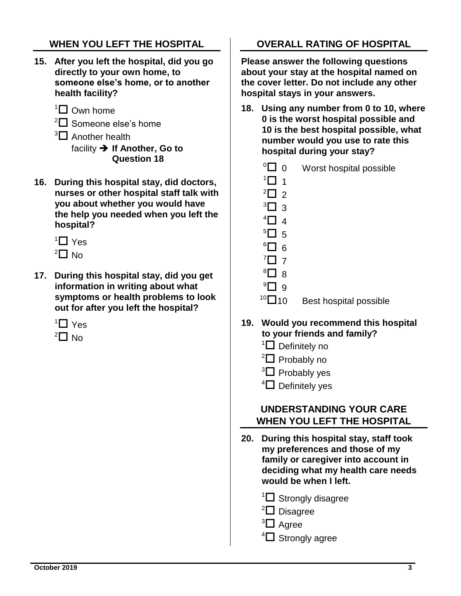## **WHEN YOU LEFT THE HOSPITAL**

- **15. After you left the hospital, did you go directly to your own home, to someone else's home, or to another health facility?**
	- $1\Box$  Own home
	- $2\Box$  Someone else's home
	- $3\Box$  Another health facility  $\rightarrow$  If Another, Go to **Question 18**
- **16. During this hospital stay, did doctors, nurses or other hospital staff talk with you about whether you would have the help you needed when you left the hospital?**
	- $1$  Yes  $2$  $\Box$  No
- **17. During this hospital stay, did you get information in writing about what symptoms or health problems to look out for after you left the hospital?**
	- $1$  Yes
	- $2\Box$  No

#### **OVERALL RATING OF HOSPITAL**

**Please answer the following questions about your stay at the hospital named on the cover letter. Do not include any other hospital stays in your answers.**

- **18. Using any number from 0 to 10, where 0 is the worst hospital possible and 10 is the best hospital possible, what number would you use to rate this hospital during your stay?**
	- $\sqrt[0]{\Box}$  0 Worst hospital possible
	- $1\Box$  1  $^2$  $\Box$  2
	- $3\Box$  3
	- $\mathbf{4}$   $\mathbf{1}$   $\mathbf{4}$
	- $5\Box$  5
	- $6\Box$  6
	- $^7\Box$  7
	- $8 \square$ <sup>8</sup>
	- $\rm ^{9}C$  9
	-
	- $10$  Best hospital possible

#### **19. Would you recommend this hospital to your friends and family?**

- $1\Box$  Definitely no
- ${}^{2}\square$  Probably no
- $3\Box$  Probably yes
- $4\Box$  Definitely yes

#### **UNDERSTANDING YOUR CARE WHEN YOU LEFT THE HOSPITAL**

**20. During this hospital stay, staff took my preferences and those of my family or caregiver into account in deciding what my health care needs would be when I left.**

 $1\Box$  Strongly disagree

- $2$  Disagree
- $3\Box$  Agree
- $4\Box$  Strongly agree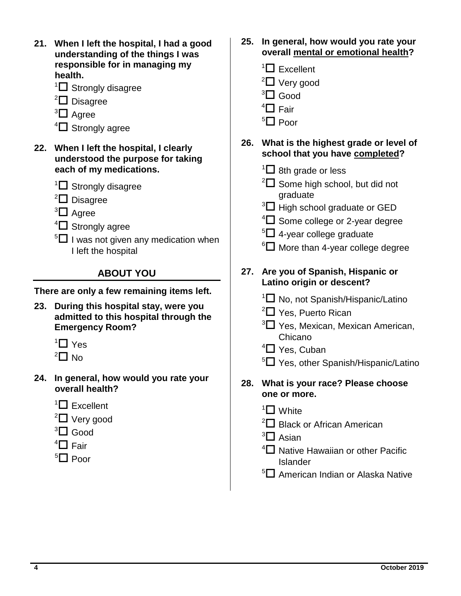| $\mathbb{Z}$ Excellent<br>$2\Box$ Very good<br>${}^{3}\square$ Good<br>$\mathrm{^{4} \square}$ Fair<br>${}^{5}$ $\Box$ Poor<br>26. What is the highest grade or level of<br>school that you have completed?<br>$\sqrt[1]{\Box}$ 8th grade or less<br>$2\Box$ Some high school, but did not<br>graduate<br>$3\Box$ High school graduate or GED<br>$\mathrm{H}$ Some college or 2-year degree<br>$5\Box$ 4-year college graduate |
|--------------------------------------------------------------------------------------------------------------------------------------------------------------------------------------------------------------------------------------------------------------------------------------------------------------------------------------------------------------------------------------------------------------------------------|
|                                                                                                                                                                                                                                                                                                                                                                                                                                |
| ${}^6\square$ More than 4-year college degree                                                                                                                                                                                                                                                                                                                                                                                  |
| Are you of Spanish, Hispanic or<br>27.                                                                                                                                                                                                                                                                                                                                                                                         |
| Latino origin or descent?<br><sup>1</sup> □ No, not Spanish/Hispanic/Latino<br>$2\Box$ Yes, Puerto Rican<br><sup>3</sup> O Yes, Mexican, Mexican American,<br>Chicano<br>$\left\vert \Box \right\vert$ Yes, Cuban<br><sup>5</sup> C Yes, other Spanish/Hispanic/Latino                                                                                                                                                         |
| 28. What is your race? Please choose<br>one or more.<br>$\mathrm{1} \square$ White<br>$2\Box$ Black or African American<br>$3\Box$ Asian<br>$4\Box$ Native Hawaiian or other Pacific<br><b>Islander</b><br><sup>5</sup> □ American Indian or Alaska Native                                                                                                                                                                     |
|                                                                                                                                                                                                                                                                                                                                                                                                                                |

L.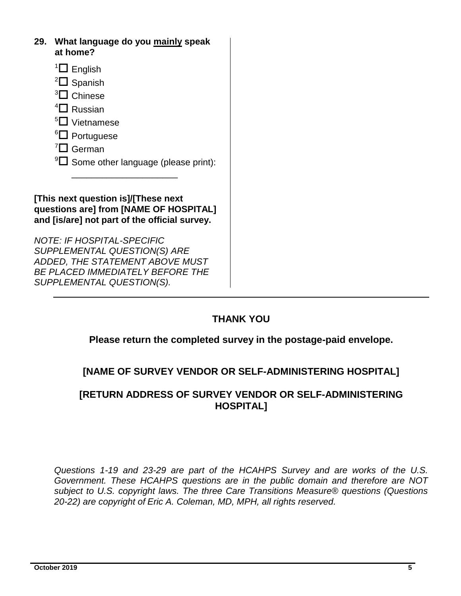- **29. What language do you mainly speak at home?**
	- $1\Box$  English
	- $2\Box$  Spanish
	- $3\Box$  Chinese
	- $4\Box$  Russian
	- $5\Box$  Vietnamese
	- ${}^6square$  Portuguese
	- $^7\Box$  German
	- $\mathrm{P}^9$  Some other language (please print):

**[This next question is]/[These next questions are] from [NAME OF HOSPITAL] and [is/are] not part of the official survey.**

\_\_\_\_\_\_\_\_\_\_\_\_\_\_\_\_\_\_\_\_\_

*NOTE: IF HOSPITAL-SPECIFIC SUPPLEMENTAL QUESTION(S) ARE ADDED, THE STATEMENT ABOVE MUST BE PLACED IMMEDIATELY BEFORE THE SUPPLEMENTAL QUESTION(S).*

#### **THANK YOU**

#### **Please return the completed survey in the postage-paid envelope.**

#### **[NAME OF SURVEY VENDOR OR SELF-ADMINISTERING HOSPITAL]**

#### **[RETURN ADDRESS OF SURVEY VENDOR OR SELF-ADMINISTERING HOSPITAL]**

*Questions 1-19 and 23-29 are part of the HCAHPS Survey and are works of the U.S. Government. These HCAHPS questions are in the public domain and therefore are NOT subject to U.S. copyright laws. The three Care Transitions Measure® questions (Questions 20-22) are copyright of Eric A. Coleman, MD, MPH, all rights reserved.*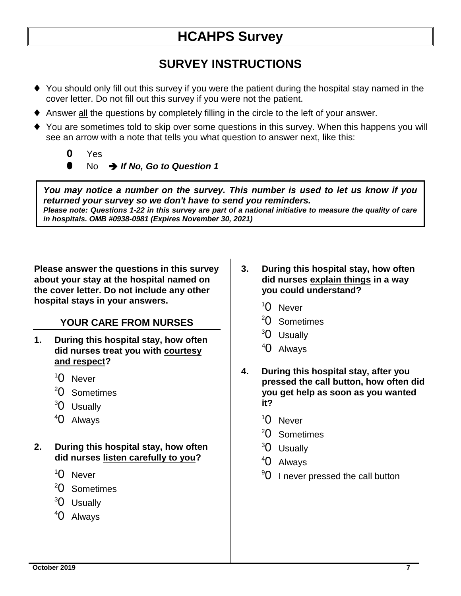# **HCAHPS Survey**

# **SURVEY INSTRUCTIONS**

- You should only fill out this survey if you were the patient during the hospital stay named in the cover letter. Do not fill out this survey if you were not the patient.
- Answer all the questions by completely filling in the circle to the left of your answer.
- You are sometimes told to skip over some questions in this survey. When this happens you will see an arrow with a note that tells you what question to answer next, like this:
	- **0** Yes
		- **0** No *If No, Go to Question 1*

*You may notice a number on the survey. This number is used to let us know if you returned your survey so we don't have to send you reminders. Please note: Questions 1-22 in this survey are part of a national initiative to measure the quality of care in hospitals. OMB #0938-0981 (Expires November 30, 2021)*

**Please answer the questions in this survey about your stay at the hospital named on the cover letter. Do not include any other hospital stays in your answers.** 

#### **YOUR CARE FROM NURSES**

- **1. During this hospital stay, how often did nurses treat you with courtesy and respect?** 
	- <sup>1</sup>0 Never
	- <sup>2</sup>0 Sometimes
	- <sup>3</sup>0 Usually
	- <sup>4</sup>0 Always
- **2. During this hospital stay, how often did nurses listen carefully to you?** 
	- <sup>1</sup>0 Never
	- <sup>2</sup>0 Sometimes
	- <sup>3</sup>0 Usually
	- <sup>4</sup>0 Always
- **3. During this hospital stay, how often did nurses explain things in a way you could understand?**
	- <sup>1</sup>0 Never
	- <sup>2</sup>0 Sometimes
	- <sup>3</sup>0 Usually
	- <sup>4</sup>0 Always
- **4. During this hospital stay, after you pressed the call button, how often did you get help as soon as you wanted it?** 
	- <sup>1</sup>0 Never
	- <sup>2</sup>0 Sometimes
	- <sup>3</sup>0 Usually
	- <sup>4</sup>0 Always
	- $90$  I never pressed the call button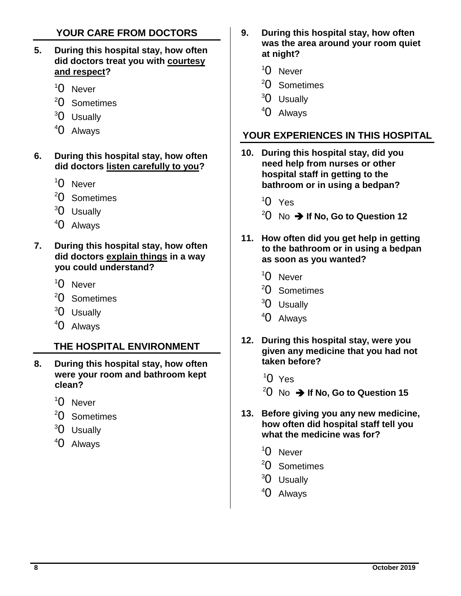### **YOUR CARE FROM DOCTORS**

- **5. During this hospital stay, how often did doctors treat you with courtesy and respect?**
	- <sup>1</sup>0 Never
	- <sup>2</sup>0 Sometimes
	- <sup>3</sup>0 Usually
	- <sup>4</sup>0 Always
- **6. During this hospital stay, how often did doctors listen carefully to you?**
	- <sup>1</sup>0 Never
	- <sup>2</sup>0 Sometimes
	- <sup>3</sup>0 Usually
	- <sup>4</sup>0 Always
- **7. During this hospital stay, how often did doctors explain things in a way you could understand?**
	- <sup>1</sup>0 Never
	- <sup>2</sup>0 Sometimes
	- <sup>3</sup>0 Usually
	- <sup>4</sup>0 Always

#### **THE HOSPITAL ENVIRONMENT**

- **8. During this hospital stay, how often were your room and bathroom kept clean?**
	- <sup>1</sup>0 Never
	- <sup>2</sup>0 Sometimes
	- <sup>3</sup>0 Usually
	- <sup>4</sup>0 Always
- **9. During this hospital stay, how often was the area around your room quiet at night?**
	- <sup>1</sup>0 Never
	- <sup>2</sup>0 Sometimes
	- <sup>3</sup>0 Usually
	- <sup>4</sup>0 Always

## **YOUR EXPERIENCES IN THIS HOSPITAL**

- **10. During this hospital stay, did you need help from nurses or other hospital staff in getting to the bathroom or in using a bedpan?**
	- $10 Y$ es
	- $20\,$  No  $\rightarrow$  If No. Go to Question 12
- **11. How often did you get help in getting to the bathroom or in using a bedpan as soon as you wanted?**
	- <sup>1</sup>0 Never
	- <sup>2</sup>0 Sometimes
	- <sup>3</sup>0 Usually
	- <sup>4</sup>0 Always
- **12. During this hospital stay, were you given any medicine that you had not taken before?**
	- $10 Y$ es
	- $20$  No  $\rightarrow$  If No, Go to Question 15
- **13. Before giving you any new medicine, how often did hospital staff tell you what the medicine was for?**
	- <sup>1</sup>0 Never
	- <sup>2</sup>0 Sometimes
	- <sup>3</sup>0 Usually
	- <sup>4</sup>0 Always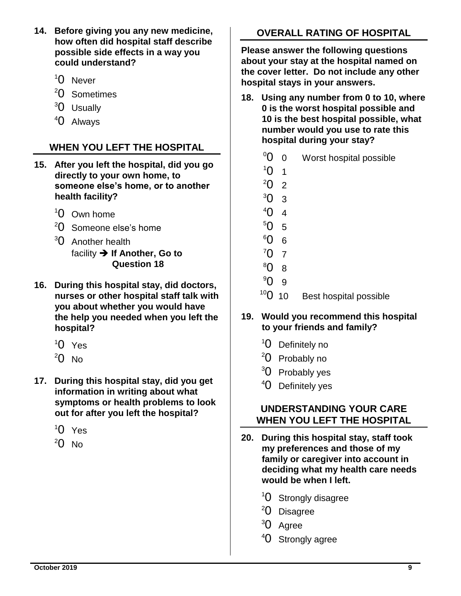- **14. Before giving you any new medicine, how often did hospital staff describe possible side effects in a way you could understand?**
	- <sup>1</sup>0 Never
	- <sup>2</sup>0 Sometimes
	- <sup>3</sup>0 Usually
	- <sup>4</sup>0 Always

## **WHEN YOU LEFT THE HOSPITAL**

- **15. After you left the hospital, did you go directly to your own home, to someone else's home, or to another health facility?**
	- <sup>1</sup>0 Own home
	- <sup>2</sup>0 Someone else's home
	- $30$  Another health facility  $\rightarrow$  If Another, Go to **Question 18**
- **16. During this hospital stay, did doctors, nurses or other hospital staff talk with you about whether you would have the help you needed when you left the hospital?**
	- $10$  Yes
	- $20$  No
- **17. During this hospital stay, did you get information in writing about what symptoms or health problems to look out for after you left the hospital?**
	- $10$  Yes
	- $20$  No

# **OVERALL RATING OF HOSPITAL**

**Please answer the following questions about your stay at the hospital named on the cover letter. Do not include any other hospital stays in your answers.**

- **18. Using any number from 0 to 10, where 0 is the worst hospital possible and 10 is the best hospital possible, what number would you use to rate this hospital during your stay?**
	- $\overline{0}$  0 Worst hospital possible
	- $10 \quad 1$
	- $2022$
	- $30^{3}$
	- ${}^{4}$  $O$  4
	- $50^{5}$
	- <sup>6</sup>0 6
	- $707$
	- <sup>8</sup>0 8
	- <sup>9</sup>0 9
	- $10^{\circ}$  0 10 Best hospital possible

#### **19. Would you recommend this hospital to your friends and family?**

- <sup>1</sup>0 Definitely no
- <sup>2</sup>0 Probably no
- <sup>3</sup>0 Probably yes
- <sup>4</sup>0 Definitely yes

#### **UNDERSTANDING YOUR CARE WHEN YOU LEFT THE HOSPITAL**

- **20. During this hospital stay, staff took my preferences and those of my family or caregiver into account in deciding what my health care needs would be when I left.**
	- <sup>1</sup>O Strongly disagree
	- <sup>2</sup>0 Disagree
	- <sup>3</sup>0 Agree
	- <sup>4</sup>0 Strongly agree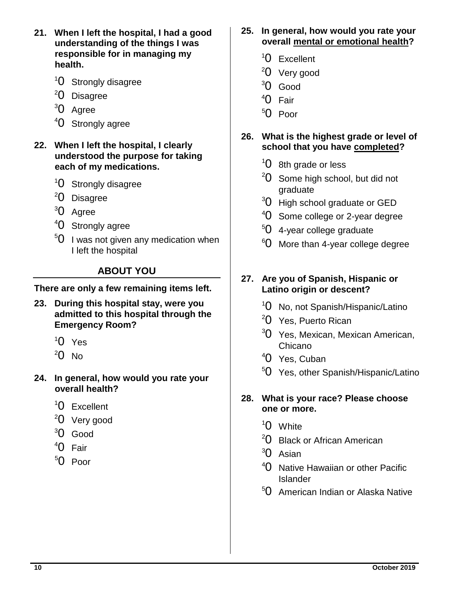- **21. When I left the hospital, I had a good understanding of the things I was responsible for in managing my health.**
	- <sup>1</sup>0 Strongly disagree
	- <sup>2</sup>0 Disagree
	- <sup>3</sup>0 Agree
	- <sup>4</sup>0 Strongly agree
- **22. When I left the hospital, I clearly understood the purpose for taking each of my medications.**
	- <sup>1</sup>0 Strongly disagree
	- <sup>2</sup>0 Disagree
	- <sup>3</sup>0 Agree
	- <sup>4</sup>0 Strongly agree
	- $50$  I was not given any medication when I left the hospital

## **ABOUT YOU**

**There are only a few remaining items left.**

- **23. During this hospital stay, were you admitted to this hospital through the Emergency Room?** 
	- $10 Y$ es
	- $20$  No
- **24. In general, how would you rate your overall health?** 
	- <sup>1</sup>0 Excellent
	- <sup>2</sup>0 Very good
	- <sup>3</sup>0 Good
	- <sup>4</sup>0 Fair
	- <sup>5</sup>0 Poor
- **25. In general, how would you rate your overall mental or emotional health?** 
	- <sup>1</sup>0 Excellent
	- <sup>2</sup>0 Very good
	- <sup>3</sup>0 Good
	- <sup>4</sup>0 Fair
	- <sup>5</sup>0 Poor
- **26. What is the highest grade or level of school that you have completed?** 
	- $10$  8th grade or less
	- $20$  Some high school, but did not graduate
	- $30$  High school graduate or GED
	- <sup>4</sup>O Some college or 2-year degree
	- <sup>5</sup>0 4-year college graduate
	- $60$  More than 4-year college degree

#### **27. Are you of Spanish, Hispanic or Latino origin or descent?**

- <sup>1</sup>0 No, not Spanish/Hispanic/Latino
- <sup>2</sup>0 Yes, Puerto Rican
- <sup>3</sup>O Yes, Mexican, Mexican American, Chicano
- <sup>4</sup>0 Yes, Cuban
- <sup>5</sup>0 Yes, other Spanish/Hispanic/Latino
- **28. What is your race? Please choose one or more.** 
	- <sup>1</sup>0 White
	- <sup>2</sup>O Black or African American
	- <sup>3</sup>0 Asian
	- <sup>4</sup>O Native Hawaiian or other Pacific Islander
	- <sup>5</sup>O American Indian or Alaska Native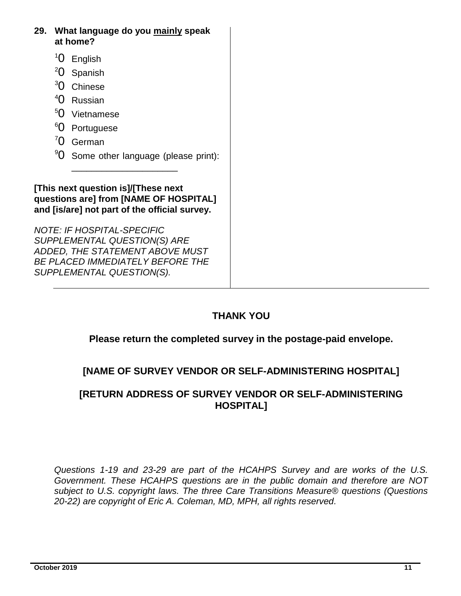- **29. What language do you mainly speak at home?**
	- <sup>1</sup>0 English
	- <sup>2</sup>0 Spanish
	- <sup>3</sup>0 Chinese
	- <sup>4</sup>0 Russian
	- <sup>5</sup>0 Vietnamese
	- <sup>6</sup>0 Portuguese
	- <sup>7</sup>0 German
	- <sup>9</sup>O Some other language (please print):

**[This next question is]/[These next questions are] from [NAME OF HOSPITAL] and [is/are] not part of the official survey.**

\_\_\_\_\_\_\_\_\_\_\_\_\_\_\_\_\_\_\_\_\_

*NOTE: IF HOSPITAL-SPECIFIC SUPPLEMENTAL QUESTION(S) ARE ADDED, THE STATEMENT ABOVE MUST BE PLACED IMMEDIATELY BEFORE THE SUPPLEMENTAL QUESTION(S).*

## **THANK YOU**

#### **Please return the completed survey in the postage-paid envelope.**

## **[NAME OF SURVEY VENDOR OR SELF-ADMINISTERING HOSPITAL]**

#### **[RETURN ADDRESS OF SURVEY VENDOR OR SELF-ADMINISTERING HOSPITAL]**

*Questions 1-19 and 23-29 are part of the HCAHPS Survey and are works of the U.S. Government. These HCAHPS questions are in the public domain and therefore are NOT subject to U.S. copyright laws. The three Care Transitions Measure® questions (Questions 20-22) are copyright of Eric A. Coleman, MD, MPH, all rights reserved.*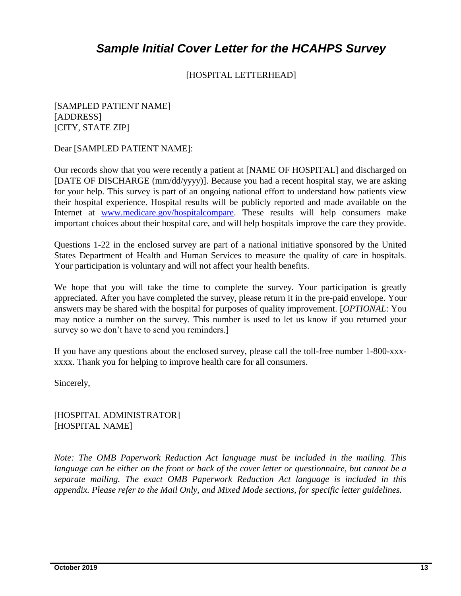# *Sample Initial Cover Letter for the HCAHPS Survey*

[HOSPITAL LETTERHEAD]

[SAMPLED PATIENT NAME] [ADDRESS] [CITY, STATE ZIP]

Dear [SAMPLED PATIENT NAME]:

Our records show that you were recently a patient at [NAME OF HOSPITAL] and discharged on [DATE OF DISCHARGE (mm/dd/yyyy)]. Because you had a recent hospital stay, we are asking for your help. This survey is part of an ongoing national effort to understand how patients view their hospital experience. Hospital results will be publicly reported and made available on the Internet at [www.medicare.gov/hospitalcompare.](http://www.medicare.gov/hospitalcompare) These results will help consumers make important choices about their hospital care, and will help hospitals improve the care they provide.

Questions 1-22 in the enclosed survey are part of a national initiative sponsored by the United States Department of Health and Human Services to measure the quality of care in hospitals. Your participation is voluntary and will not affect your health benefits.

We hope that you will take the time to complete the survey. Your participation is greatly appreciated. After you have completed the survey, please return it in the pre-paid envelope. Your answers may be shared with the hospital for purposes of quality improvement. [*OPTIONAL*: You may notice a number on the survey. This number is used to let us know if you returned your survey so we don't have to send you reminders.

If you have any questions about the enclosed survey, please call the toll-free number 1-800-xxxxxxx. Thank you for helping to improve health care for all consumers.

Sincerely,

[HOSPITAL ADMINISTRATOR] [HOSPITAL NAME]

*Note: The OMB Paperwork Reduction Act language must be included in the mailing. This language can be either on the front or back of the cover letter or questionnaire, but cannot be a separate mailing. The exact OMB Paperwork Reduction Act language is included in this appendix. Please refer to the Mail Only, and Mixed Mode sections, for specific letter guidelines.*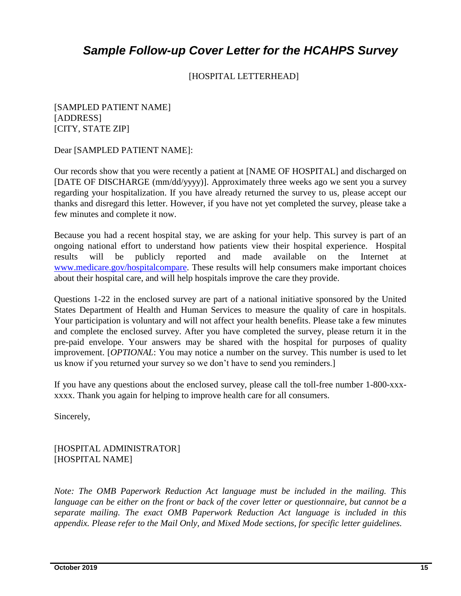# *Sample Follow-up Cover Letter for the HCAHPS Survey*

[HOSPITAL LETTERHEAD]

[SAMPLED PATIENT NAME] [ADDRESS] [CITY, STATE ZIP]

Dear [SAMPLED PATIENT NAME]:

Our records show that you were recently a patient at [NAME OF HOSPITAL] and discharged on [DATE OF DISCHARGE (mm/dd/yyyy)]. Approximately three weeks ago we sent you a survey regarding your hospitalization. If you have already returned the survey to us, please accept our thanks and disregard this letter. However, if you have not yet completed the survey, please take a few minutes and complete it now.

Because you had a recent hospital stay, we are asking for your help. This survey is part of an ongoing national effort to understand how patients view their hospital experience. Hospital results will be publicly reported and made available on the Internet at [www.medicare.gov/hospitalcompare.](http://www.medicare.gov/hospitalcompare) These results will help consumers make important choices about their hospital care, and will help hospitals improve the care they provide.

Questions 1-22 in the enclosed survey are part of a national initiative sponsored by the United States Department of Health and Human Services to measure the quality of care in hospitals. Your participation is voluntary and will not affect your health benefits. Please take a few minutes and complete the enclosed survey. After you have completed the survey, please return it in the pre-paid envelope. Your answers may be shared with the hospital for purposes of quality improvement. [*OPTIONAL*: You may notice a number on the survey. This number is used to let us know if you returned your survey so we don't have to send you reminders.]

If you have any questions about the enclosed survey, please call the toll-free number 1-800-xxxxxxx. Thank you again for helping to improve health care for all consumers.

Sincerely,

[HOSPITAL ADMINISTRATOR] [HOSPITAL NAME]

*Note: The OMB Paperwork Reduction Act language must be included in the mailing. This language can be either on the front or back of the cover letter or questionnaire, but cannot be a separate mailing. The exact OMB Paperwork Reduction Act language is included in this appendix. Please refer to the Mail Only, and Mixed Mode sections, for specific letter guidelines.*